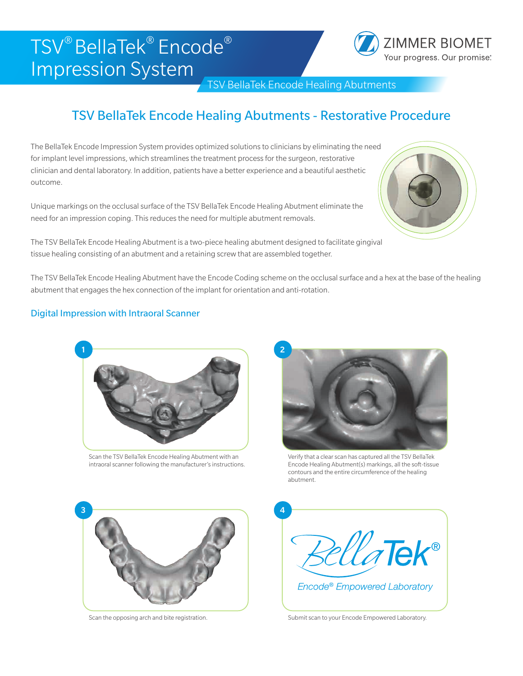# TSV® BellaTek® Encode® Impression System



TSV BellaTek Encode Healing Abutments

## TSV BellaTek Encode Healing Abutments - Restorative Procedure

The BellaTek Encode Impression System provides optimized solutions to clinicians by eliminating the need for implant level impressions, which streamlines the treatment process for the surgeon, restorative clinician and dental laboratory. In addition, patients have a better experience and a beautiful aesthetic outcome.

Unique markings on the occlusal surface of the TSV BellaTek Encode Healing Abutment eliminate the need for an impression coping. This reduces the need for multiple abutment removals.



The TSV BellaTek Encode Healing Abutment is a two-piece healing abutment designed to facilitate gingival tissue healing consisting of an abutment and a retaining screw that are assembled together.

The TSV BellaTek Encode Healing Abutment have the Encode Coding scheme on the occlusal surface and a hex at the base of the healing abutment that engages the hex connection of the implant for orientation and anti-rotation.

### Digital Impression with Intraoral Scanner



Scan the TSV BellaTek Encode Healing Abutment with an intraoral scanner following the manufacturer's instructions.



Verify that a clear scan has captured all the TSV BellaTek Encode Healing Abutment(s) markings, all the soft-tissue contours and the entire circumference of the healing abutment.



Scan the opposing arch and bite registration.



Submit scan to your Encode Empowered Laboratory.